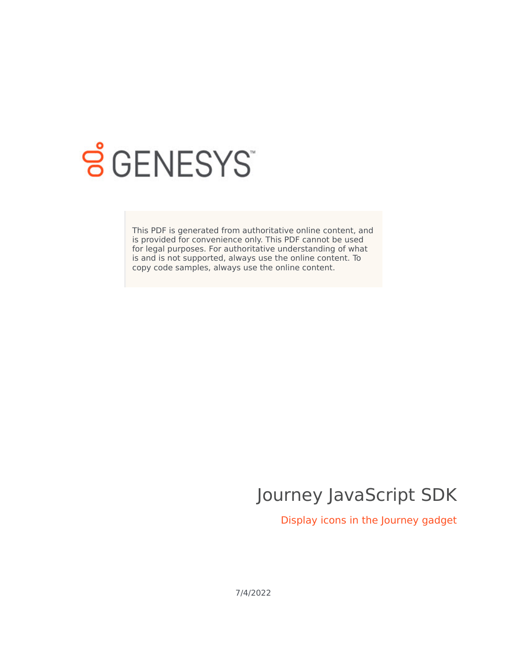

# **SGENESYS**

This PDF is generated from authoritative online content, and is provided for convenience only. This PDF cannot be used for legal purposes. For authoritative understanding of what is and is not supported, always use the online content. To copy code samples, always use the online content.

# Journey JavaScript SDK

Display icons in the Journey gadget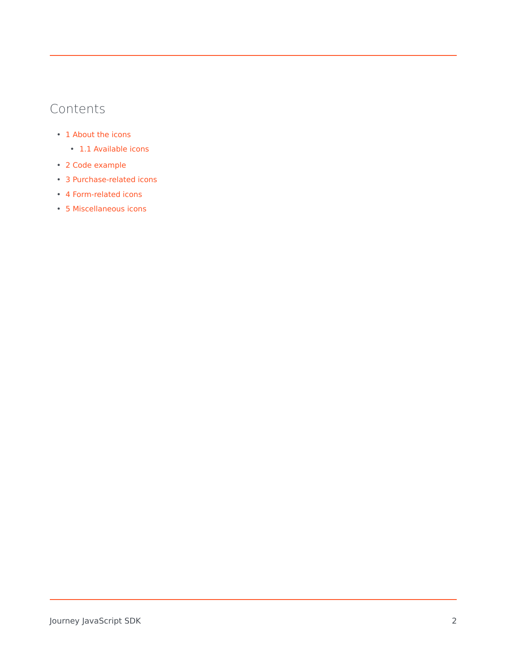## Contents

- 1 [About the icons](#page-2-0)
	- 1.1 [Available icons](#page-2-1)
- 2 [Code example](#page-2-2)
- 3 [Purchase-related icons](#page-3-0)
- 4 [Form-related icons](#page-3-1)
- 5 [Miscellaneous icons](#page-4-0)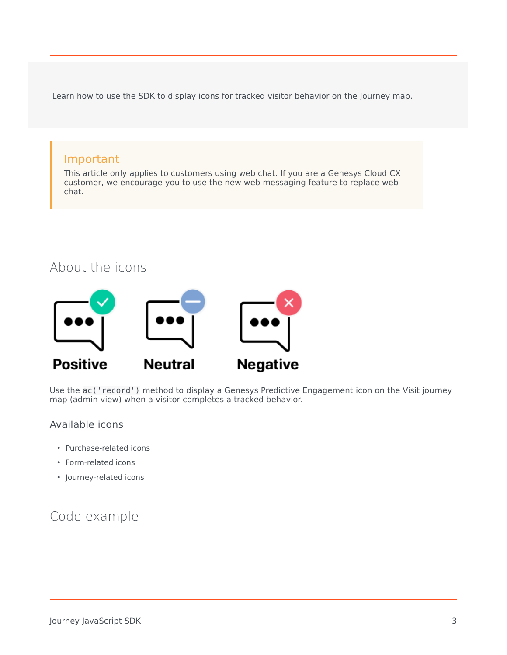Learn how to use the SDK to display icons for tracked visitor behavior on the Journey map.

#### Important

This article only applies to customers using web chat. If you are a Genesys Cloud CX customer, we encourage you to use the new web messaging feature to replace web chat.

#### About the icons

<span id="page-2-0"></span>

Use the ac('record') method to display a Genesys Predictive Engagement icon on the Visit journey map (admin view) when a visitor completes a tracked behavior.

#### <span id="page-2-1"></span>Available icons

- Purchase-related icons
- Form-related icons
- Journey-related icons

### <span id="page-2-2"></span>Code example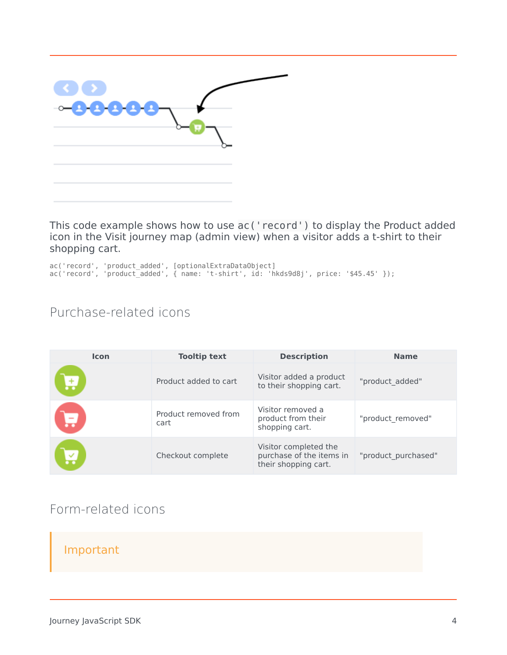| ⊶8888 |  |
|-------|--|
|       |  |

This code example shows how to use ac('record') to display the Product added icon in the Visit journey map (admin view) when a visitor adds a t-shirt to their shopping cart.

ac('record', 'product\_added', [optionalExtraDataObject] ac('record', 'product\_added', { name: 't-shirt', id: 'hkds9d8j', price: '\$45.45' });

# <span id="page-3-0"></span>Purchase-related icons

| <b>Icon</b> | <b>Tooltip text</b>          | <b>Description</b>                                                        | <b>Name</b>         |
|-------------|------------------------------|---------------------------------------------------------------------------|---------------------|
| لہ          | Product added to cart        | Visitor added a product<br>to their shopping cart.                        | "product added"     |
|             | Product removed from<br>cart | Visitor removed a<br>product from their<br>shopping cart.                 | "product removed"   |
| 凶           | Checkout complete            | Visitor completed the<br>purchase of the items in<br>their shopping cart. | "product purchased" |

### <span id="page-3-1"></span>Form-related icons

#### Important